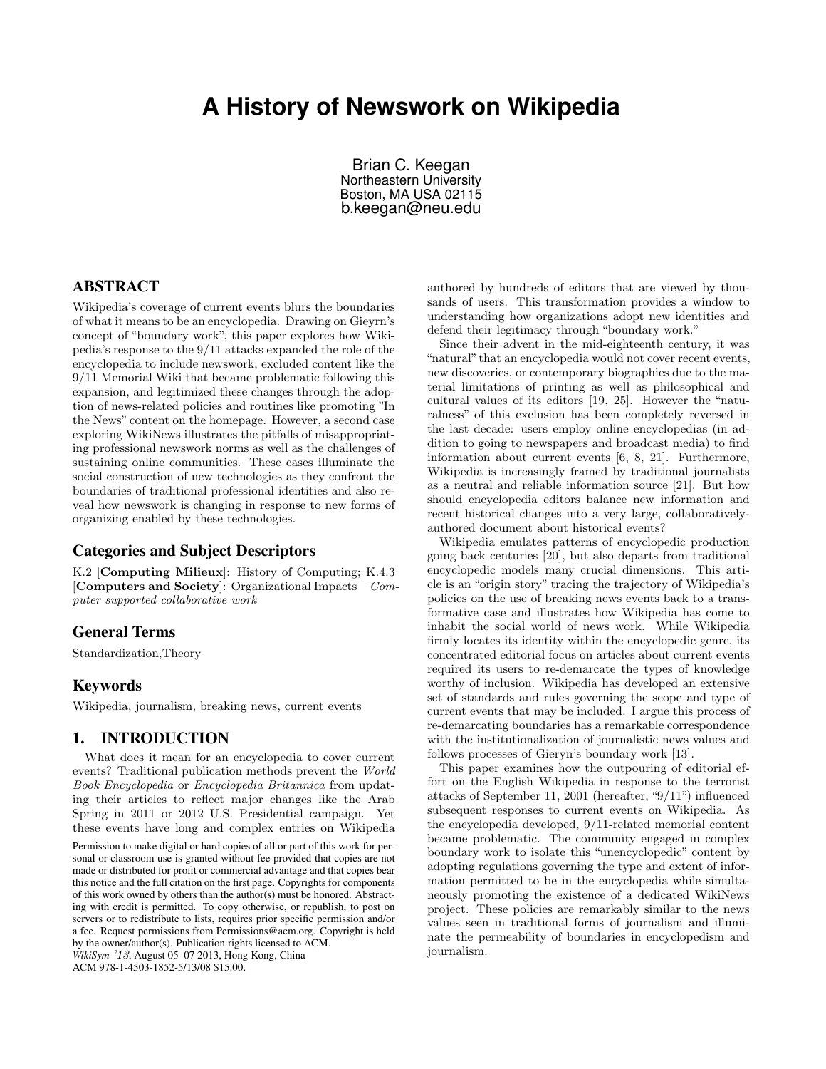# **A History of Newswork on Wikipedia**

Brian C. Keegan Northeastern University Boston, MA USA 02115 b.keegan@neu.edu

## ABSTRACT

Wikipedia's coverage of current events blurs the boundaries of what it means to be an encyclopedia. Drawing on Gieyrn's concept of "boundary work", this paper explores how Wikipedia's response to the 9/11 attacks expanded the role of the encyclopedia to include newswork, excluded content like the 9/11 Memorial Wiki that became problematic following this expansion, and legitimized these changes through the adoption of news-related policies and routines like promoting "In the News" content on the homepage. However, a second case exploring WikiNews illustrates the pitfalls of misappropriating professional newswork norms as well as the challenges of sustaining online communities. These cases illuminate the social construction of new technologies as they confront the boundaries of traditional professional identities and also reveal how newswork is changing in response to new forms of organizing enabled by these technologies.

### Categories and Subject Descriptors

K.2 [Computing Milieux]: History of Computing; K.4.3 [Computers and Society]: Organizational Impacts—Computer supported collaborative work

### General Terms

Standardization,Theory

### Keywords

Wikipedia, journalism, breaking news, current events

### 1. INTRODUCTION

What does it mean for an encyclopedia to cover current events? Traditional publication methods prevent the World Book Encyclopedia or Encyclopedia Britannica from updating their articles to reflect major changes like the Arab Spring in 2011 or 2012 U.S. Presidential campaign. Yet these events have long and complex entries on Wikipedia

Permission to make digital or hard copies of all or part of this work for personal or classroom use is granted without fee provided that copies are not made or distributed for profit or commercial advantage and that copies bear this notice and the full citation on the first page. Copyrights for components of this work owned by others than the author(s) must be honored. Abstracting with credit is permitted. To copy otherwise, or republish, to post on servers or to redistribute to lists, requires prior specific permission and/or a fee. Request permissions from Permissions@acm.org. Copyright is held by the owner/author(s). Publication rights licensed to ACM. *WikiSym* '13, August 05–07 2013, Hong Kong, China

ACM 978-1-4503-1852-5/13/08 \$15.00.

authored by hundreds of editors that are viewed by thousands of users. This transformation provides a window to understanding how organizations adopt new identities and defend their legitimacy through "boundary work."

Since their advent in the mid-eighteenth century, it was "natural" that an encyclopedia would not cover recent events, new discoveries, or contemporary biographies due to the material limitations of printing as well as philosophical and cultural values of its editors [\[19,](#page-9-0) [25\]](#page-9-1). However the "naturalness" of this exclusion has been completely reversed in the last decade: users employ online encyclopedias (in addition to going to newspapers and broadcast media) to find information about current events [\[6,](#page-9-2) [8,](#page-9-3) [21\]](#page-9-4). Furthermore, Wikipedia is increasingly framed by traditional journalists as a neutral and reliable information source [\[21\]](#page-9-4). But how should encyclopedia editors balance new information and recent historical changes into a very large, collaborativelyauthored document about historical events?

Wikipedia emulates patterns of encyclopedic production going back centuries [\[20\]](#page-9-5), but also departs from traditional encyclopedic models many crucial dimensions. This article is an "origin story" tracing the trajectory of Wikipedia's policies on the use of breaking news events back to a transformative case and illustrates how Wikipedia has come to inhabit the social world of news work. While Wikipedia firmly locates its identity within the encyclopedic genre, its concentrated editorial focus on articles about current events required its users to re-demarcate the types of knowledge worthy of inclusion. Wikipedia has developed an extensive set of standards and rules governing the scope and type of current events that may be included. I argue this process of re-demarcating boundaries has a remarkable correspondence with the institutionalization of journalistic news values and follows processes of Gieryn's boundary work [\[13\]](#page-9-6).

This paper examines how the outpouring of editorial effort on the English Wikipedia in response to the terrorist attacks of September 11, 2001 (hereafter, "9/11") influenced subsequent responses to current events on Wikipedia. As the encyclopedia developed, 9/11-related memorial content became problematic. The community engaged in complex boundary work to isolate this "unencyclopedic" content by adopting regulations governing the type and extent of information permitted to be in the encyclopedia while simultaneously promoting the existence of a dedicated WikiNews project. These policies are remarkably similar to the news values seen in traditional forms of journalism and illuminate the permeability of boundaries in encyclopedism and journalism.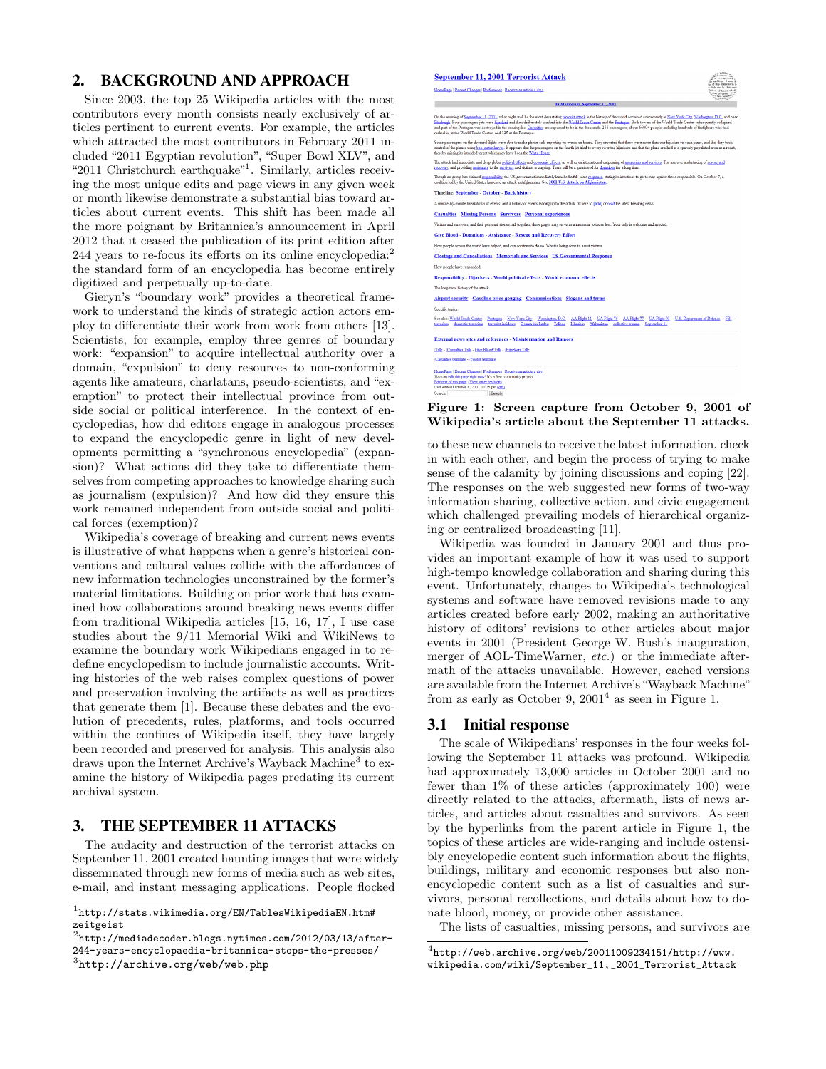### 2. BACKGROUND AND APPROACH

Since 2003, the top 25 Wikipedia articles with the most contributors every month consists nearly exclusively of articles pertinent to current events. For example, the articles which attracted the most contributors in February 2011 included "2011 Egyptian revolution", "Super Bowl XLV", and "20[1](#page-1-0)1 Christchurch earthquake"<sup>1</sup>. Similarly, articles receiving the most unique edits and page views in any given week or month likewise demonstrate a substantial bias toward articles about current events. This shift has been made all the more poignant by Britannica's announcement in April 2012 that it ceased the publication of its print edition after 244 years to re-focus its efforts on its online encyclopedia:[2](#page-1-1) the standard form of an encyclopedia has become entirely digitized and perpetually up-to-date.

Gieryn's "boundary work" provides a theoretical framework to understand the kinds of strategic action actors employ to differentiate their work from work from others [\[13\]](#page-9-6). Scientists, for example, employ three genres of boundary work: "expansion" to acquire intellectual authority over a domain, "expulsion" to deny resources to non-conforming agents like amateurs, charlatans, pseudo-scientists, and "exemption" to protect their intellectual province from outside social or political interference. In the context of encyclopedias, how did editors engage in analogous processes to expand the encyclopedic genre in light of new developments permitting a "synchronous encyclopedia" (expansion)? What actions did they take to differentiate themselves from competing approaches to knowledge sharing such as journalism (expulsion)? And how did they ensure this work remained independent from outside social and political forces (exemption)?

Wikipedia's coverage of breaking and current news events is illustrative of what happens when a genre's historical conventions and cultural values collide with the affordances of new information technologies unconstrained by the former's material limitations. Building on prior work that has examined how collaborations around breaking news events differ from traditional Wikipedia articles [\[15,](#page-9-7) [16,](#page-9-8) [17\]](#page-9-9), I use case studies about the 9/11 Memorial Wiki and WikiNews to examine the boundary work Wikipedians engaged in to redefine encyclopedism to include journalistic accounts. Writing histories of the web raises complex questions of power and preservation involving the artifacts as well as practices that generate them [\[1\]](#page-9-10). Because these debates and the evolution of precedents, rules, platforms, and tools occurred within the confines of Wikipedia itself, they have largely been recorded and preserved for analysis. This analysis also draws upon the Internet Archive's Wayback Machine<sup>[3](#page-1-2)</sup> to examine the history of Wikipedia pages predating its current archival system.

### 3. THE SEPTEMBER 11 ATTACKS

The audacity and destruction of the terrorist attacks on September 11, 2001 created haunting images that were widely disseminated through new forms of media such as web sites, e-mail, and instant messaging applications. People flocked

#### Sentember 11, 2001 Terrorist Attack ePage | Recent Changes | Preferences | Receive an article a day

| On the morning of September 11, 2001, what might well be the most devastating terrorist attack in the history of the world occurred concurrently in New York City, Washington, D.C. and near<br>Pittsburgh. Four passengers iets were hijacked and then deliberately crashed into the World Trade Center and the Pentagon. Both towers of the World Trade Center subsequently collapsed<br>and part of the Pentagon was destroyed in the ensuing fire. Cassadies are expected to be in the thousands: 266 passengers; about 6600+ people, including hundreds of firefighters who had<br>rushed in, at the World Trade Center: and 125 at the Pentaron. |
|--------------------------------------------------------------------------------------------------------------------------------------------------------------------------------------------------------------------------------------------------------------------------------------------------------------------------------------------------------------------------------------------------------------------------------------------------------------------------------------------------------------------------------------------------------------------------------------------------------------------------------------------------------|
| Some passengers on the doomed flights were able to make phone calls reporting on events on board. They reported that there were more than one hijacker on each plane, and that they took<br>control of the planes using box-cutter knives. It appears that the passengers on the fourth jet tried to overpower the hijackers and that the plane crashed in a sparsely populated area as a result.<br>thereby missing its intended target which may have been the White House.                                                                                                                                                                          |
| The attack had immediate and deep global political effects and economic effects; as well as an international outpouring of memorials and services. The massive undertaking of rescue and<br>recovery, and providing assistance to the survivors and victims, is ongoing. There will be a great need for donations for a long time.                                                                                                                                                                                                                                                                                                                     |
| Though no group has claimed responsibility, the US government immediately launched a full-scale response, stating its intentions to go to war against those responsible. On October 7, a<br>coaltion led by the United States launched an attack in Afghanistan. See 2001 U.S. Attack on Afghanistan.                                                                                                                                                                                                                                                                                                                                                  |
| Timeline: September - October - Back history                                                                                                                                                                                                                                                                                                                                                                                                                                                                                                                                                                                                           |
| A minute-by-minute breakdown of events, and a history of events leading up to the attack. Where to faddl or read the latest breaking news.                                                                                                                                                                                                                                                                                                                                                                                                                                                                                                             |
| <b>Casualties - Missing Persons - Survivors - Personal experiences</b>                                                                                                                                                                                                                                                                                                                                                                                                                                                                                                                                                                                 |
| Victims and survivors, and their personal stories. All together, these pages may serve as a memorial to those lost. Your help is welcome and needed                                                                                                                                                                                                                                                                                                                                                                                                                                                                                                    |
| <b>Give Blood - Donations - Assistance - Rescue and Recovery Effort</b>                                                                                                                                                                                                                                                                                                                                                                                                                                                                                                                                                                                |
| How people across the world have helped, and can continue to do so. What is being done to assist victims.                                                                                                                                                                                                                                                                                                                                                                                                                                                                                                                                              |
| <b>Closings and Cancellations - Memorials and Services - US Governmental Response</b>                                                                                                                                                                                                                                                                                                                                                                                                                                                                                                                                                                  |
| How people have responded.                                                                                                                                                                                                                                                                                                                                                                                                                                                                                                                                                                                                                             |
| <b>Responsibility - Hijackers - World political effects - World economic effects</b>                                                                                                                                                                                                                                                                                                                                                                                                                                                                                                                                                                   |
| The long-term history of the attack.                                                                                                                                                                                                                                                                                                                                                                                                                                                                                                                                                                                                                   |
| <b>Airport security - Gasoline price gouging - Communications - Slogans and terms</b>                                                                                                                                                                                                                                                                                                                                                                                                                                                                                                                                                                  |
| Specific topics.                                                                                                                                                                                                                                                                                                                                                                                                                                                                                                                                                                                                                                       |
| See also: World Trade Center -- Pentagon -- New York City -- Washington, D.C. -- AA Fight 11 -- UA Fight 75 -- AA Fight 77 -- UA Fight 93 -- U.S. Department of Defense -- FBI --<br>terrorism -- domestic terrorism -- terrorist incidents -- Osama bin Laden -- Taiban -- Islamism -- Afshanistan -- collective trauma -- September 11                                                                                                                                                                                                                                                                                                               |
| <b>External news sites and references - Misinformation and Rumors</b>                                                                                                                                                                                                                                                                                                                                                                                                                                                                                                                                                                                  |
| Talk - Casualties Talk - Give Blood Talk - Hijackers Talk                                                                                                                                                                                                                                                                                                                                                                                                                                                                                                                                                                                              |
| Casualties template - Footer template                                                                                                                                                                                                                                                                                                                                                                                                                                                                                                                                                                                                                  |
| HomePage   Recent Changes   Preferences   Receive an article a day!<br>You can edit this page right now! It's a free, community project<br>Edit text of this page   View other revisions<br>Last edited October 8, 2001 11:25 pm (diff)<br>Search<br>Search                                                                                                                                                                                                                                                                                                                                                                                            |

#### <span id="page-1-4"></span>Figure 1: Screen capture from October 9, 2001 of Wikipedia's article about the September 11 attacks.

to these new channels to receive the latest information, check in with each other, and begin the process of trying to make sense of the calamity by joining discussions and coping [\[22\]](#page-9-11). The responses on the web suggested new forms of two-way information sharing, collective action, and civic engagement which challenged prevailing models of hierarchical organizing or centralized broadcasting [\[11\]](#page-9-12).

Wikipedia was founded in January 2001 and thus provides an important example of how it was used to support high-tempo knowledge collaboration and sharing during this event. Unfortunately, changes to Wikipedia's technological systems and software have removed revisions made to any articles created before early 2002, making an authoritative history of editors' revisions to other articles about major events in 2001 (President George W. Bush's inauguration, merger of AOL-TimeWarner, *etc.*) or the immediate aftermath of the attacks unavailable. However, cached versions are available from the Internet Archive's "Wayback Machine" from as early as October 9,  $2001<sup>4</sup>$  $2001<sup>4</sup>$  $2001<sup>4</sup>$  as seen in Figure [1.](#page-1-4)

### 3.1 Initial response

The scale of Wikipedians' responses in the four weeks following the September 11 attacks was profound. Wikipedia had approximately 13,000 articles in October 2001 and no fewer than 1% of these articles (approximately 100) were directly related to the attacks, aftermath, lists of news articles, and articles about casualties and survivors. As seen by the hyperlinks from the parent article in Figure [1,](#page-1-4) the topics of these articles are wide-ranging and include ostensibly encyclopedic content such information about the flights, buildings, military and economic responses but also nonencyclopedic content such as a list of casualties and survivors, personal recollections, and details about how to donate blood, money, or provide other assistance.

The lists of casualties, missing persons, and survivors are

<span id="page-1-0"></span> $1$ [http://stats.wikimedia.org/EN/TablesWikipediaEN.htm#](http://stats.wikimedia.org/EN/TablesWikipediaEN.htm#zeitgeist) [zeitgeist](http://stats.wikimedia.org/EN/TablesWikipediaEN.htm#zeitgeist)

<span id="page-1-2"></span><span id="page-1-1"></span> $^{2}$ [http://mediadecoder.blogs.nytimes.com/2012/03/13/after-](http://mediadecoder.blogs.nytimes.com/2012/03/13/after-244-years-encyclopaedia-britannica-stops-the-presses/)[244-years-encyclopaedia-britannica-stops-the-presses/](http://mediadecoder.blogs.nytimes.com/2012/03/13/after-244-years-encyclopaedia-britannica-stops-the-presses/)  $^3$ <http://archive.org/web/web.php>

<span id="page-1-3"></span> $^4$ [http://web.archive.org/web/20011009234151/http://www.](http://web.archive.org/web/20011009234151/http://www.wikipedia.com/wiki/September_11,_2001_Terrorist_Attack) [wikipedia.com/wiki/September\\_11,\\_2001\\_Terrorist\\_Attack](http://web.archive.org/web/20011009234151/http://www.wikipedia.com/wiki/September_11,_2001_Terrorist_Attack)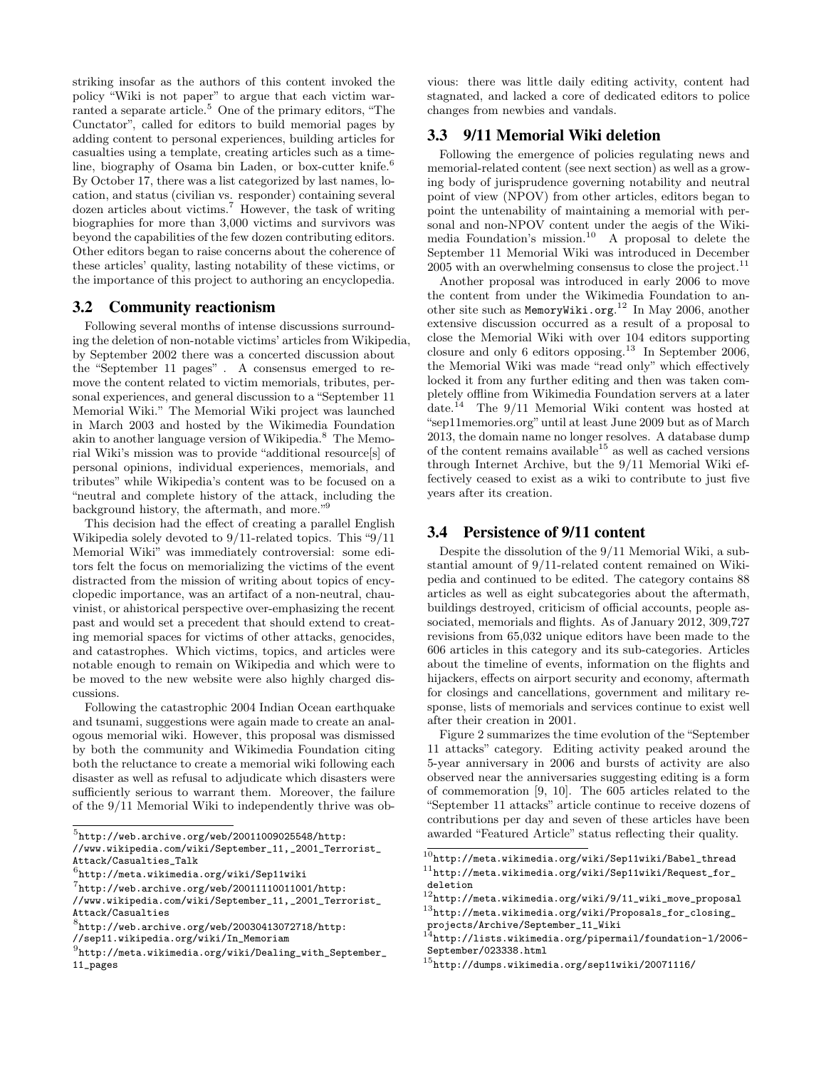striking insofar as the authors of this content invoked the policy "Wiki is not paper" to argue that each victim war-ranted a separate article.<sup>[5](#page-2-0)</sup> One of the primary editors, "The Cunctator", called for editors to build memorial pages by adding content to personal experiences, building articles for casualties using a template, creating articles such as a time-line, biography of Osama bin Laden, or box-cutter knife.<sup>[6](#page-2-1)</sup> By October 17, there was a list categorized by last names, location, and status (civilian vs. responder) containing several dozen articles about victims.[7](#page-2-2) However, the task of writing biographies for more than 3,000 victims and survivors was beyond the capabilities of the few dozen contributing editors. Other editors began to raise concerns about the coherence of these articles' quality, lasting notability of these victims, or the importance of this project to authoring an encyclopedia.

### 3.2 Community reactionism

Following several months of intense discussions surrounding the deletion of non-notable victims' articles from Wikipedia, by September 2002 there was a concerted discussion about the "September 11 pages" . A consensus emerged to remove the content related to victim memorials, tributes, personal experiences, and general discussion to a "September 11 Memorial Wiki." The Memorial Wiki project was launched in March 2003 and hosted by the Wikimedia Foundation akin to another language version of Wikipedia.<sup>[8](#page-2-3)</sup> The Memorial Wiki's mission was to provide "additional resource[s] of personal opinions, individual experiences, memorials, and tributes" while Wikipedia's content was to be focused on a "neutral and complete history of the attack, including the background history, the aftermath, and more."<sup>[9](#page-2-4)</sup>

This decision had the effect of creating a parallel English Wikipedia solely devoted to 9/11-related topics. This "9/11 Memorial Wiki" was immediately controversial: some editors felt the focus on memorializing the victims of the event distracted from the mission of writing about topics of encyclopedic importance, was an artifact of a non-neutral, chauvinist, or ahistorical perspective over-emphasizing the recent past and would set a precedent that should extend to creating memorial spaces for victims of other attacks, genocides, and catastrophes. Which victims, topics, and articles were notable enough to remain on Wikipedia and which were to be moved to the new website were also highly charged discussions.

Following the catastrophic 2004 Indian Ocean earthquake and tsunami, suggestions were again made to create an analogous memorial wiki. However, this proposal was dismissed by both the community and Wikimedia Foundation citing both the reluctance to create a memorial wiki following each disaster as well as refusal to adjudicate which disasters were sufficiently serious to warrant them. Moreover, the failure of the 9/11 Memorial Wiki to independently thrive was ob-

<span id="page-2-0"></span> $5$ [http://web.archive.org/web/20011009025548/http:](http://web.archive.org/web/20011009025548/http://www.wikipedia.com/wiki/September_11,_2001_Terrorist_Attack/Casualties_Talk) [//www.wikipedia.com/wiki/September\\_11,\\_2001\\_Terrorist\\_](http://web.archive.org/web/20011009025548/http://www.wikipedia.com/wiki/September_11,_2001_Terrorist_Attack/Casualties_Talk) [Attack/Casualties\\_Talk](http://web.archive.org/web/20011009025548/http://www.wikipedia.com/wiki/September_11,_2001_Terrorist_Attack/Casualties_Talk)

[//sep11.wikipedia.org/wiki/In\\_Memoriam](http://web.archive.org/web/20030413072718/http://sep11.wikipedia.org/wiki/In_Memoriam)

vious: there was little daily editing activity, content had stagnated, and lacked a core of dedicated editors to police changes from newbies and vandals.

### 3.3 9/11 Memorial Wiki deletion

Following the emergence of policies regulating news and memorial-related content (see next section) as well as a growing body of jurisprudence governing notability and neutral point of view (NPOV) from other articles, editors began to point the untenability of maintaining a memorial with personal and non-NPOV content under the aegis of the Wikimedia Foundation's mission.[10](#page-2-5) A proposal to delete the September 11 Memorial Wiki was introduced in December  $2005$  with an overwhelming consensus to close the project.<sup>[11](#page-2-6)</sup>

Another proposal was introduced in early 2006 to move the content from under the Wikimedia Foundation to an-other site such as MemoryWiki.org.<sup>[12](#page-2-7)</sup> In May 2006, another extensive discussion occurred as a result of a proposal to close the Memorial Wiki with over 104 editors supporting closure and only 6 editors opposing.<sup>[13](#page-2-8)</sup> In September 2006, the Memorial Wiki was made "read only" which effectively locked it from any further editing and then was taken completely offline from Wikimedia Foundation servers at a later date.[14](#page-2-9) The 9/11 Memorial Wiki content was hosted at "sep11memories.org"until at least June 2009 but as of March 2013, the domain name no longer resolves. A database dump of the content remains available<sup>[15](#page-2-10)</sup> as well as cached versions through Internet Archive, but the 9/11 Memorial Wiki effectively ceased to exist as a wiki to contribute to just five years after its creation.

### 3.4 Persistence of 9/11 content

Despite the dissolution of the 9/11 Memorial Wiki, a substantial amount of 9/11-related content remained on Wikipedia and continued to be edited. The category contains 88 articles as well as eight subcategories about the aftermath, buildings destroyed, criticism of official accounts, people associated, memorials and flights. As of January 2012, 309,727 revisions from 65,032 unique editors have been made to the 606 articles in this category and its sub-categories. Articles about the timeline of events, information on the flights and hijackers, effects on airport security and economy, aftermath for closings and cancellations, government and military response, lists of memorials and services continue to exist well after their creation in 2001.

Figure [2](#page-3-0) summarizes the time evolution of the "September 11 attacks" category. Editing activity peaked around the 5-year anniversary in 2006 and bursts of activity are also observed near the anniversaries suggesting editing is a form of commemoration [\[9,](#page-9-13) [10\]](#page-9-14). The 605 articles related to the "September 11 attacks" article continue to receive dozens of contributions per day and seven of these articles have been awarded "Featured Article" status reflecting their quality.

<span id="page-2-1"></span> $^6$ <http://meta.wikimedia.org/wiki/Sep11wiki>

<span id="page-2-2"></span><sup>7</sup> [http://web.archive.org/web/20011110011001/http:](http://web.archive.org/web/20011110011001/http://www.wikipedia.com/wiki/September_11,_2001_Terrorist_Attack/Casualties)

[<sup>//</sup>www.wikipedia.com/wiki/September\\_11,\\_2001\\_Terrorist\\_](http://web.archive.org/web/20011110011001/http://www.wikipedia.com/wiki/September_11,_2001_Terrorist_Attack/Casualties) [Attack/Casualties](http://web.archive.org/web/20011110011001/http://www.wikipedia.com/wiki/September_11,_2001_Terrorist_Attack/Casualties)

<span id="page-2-3"></span> ${}^{8}$ [http://web.archive.org/web/20030413072718/http:](http://web.archive.org/web/20030413072718/http://sep11.wikipedia.org/wiki/In_Memoriam)

<span id="page-2-4"></span> $^{9}$ [http://meta.wikimedia.org/wiki/Dealing\\_with\\_September\\_](http://meta.wikimedia.org/wiki/Dealing_with_September_11_pages) [11\\_pages](http://meta.wikimedia.org/wiki/Dealing_with_September_11_pages)

<span id="page-2-6"></span><span id="page-2-5"></span> $^{10}\mathrm{http://meta.wikipedia.org/wiki/Sept1with/Babel\_thread}$  $^{11}$ [http://meta.wikimedia.org/wiki/Sep11wiki/Request\\_for\\_](http://meta.wikimedia.org/wiki/Sep11wiki/Request_for_deletion) [deletion](http://meta.wikimedia.org/wiki/Sep11wiki/Request_for_deletion)

<span id="page-2-8"></span><span id="page-2-7"></span> $^{12}$ [http://meta.wikimedia.org/wiki/9/11\\_wiki\\_move\\_proposal](http://meta.wikimedia.org/wiki/9/11_wiki_move_proposal)  $^{13}$ [http://meta.wikimedia.org/wiki/Proposals\\_for\\_closing\\_](http://meta.wikimedia.org/wiki/Proposals_for_closing_projects/Archive/September_11_Wiki) [projects/Archive/September\\_11\\_Wiki](http://meta.wikimedia.org/wiki/Proposals_for_closing_projects/Archive/September_11_Wiki)

<span id="page-2-9"></span> $^{14}$ http://lists.wikimedia.org/pipermail/foundation-1/2006-[September/023338.html](http://lists.wikimedia.org/pipermail/foundation-l/2006-September/023338.html)

<span id="page-2-10"></span> $15$ <http://dumps.wikimedia.org/sep11wiki/20071116/>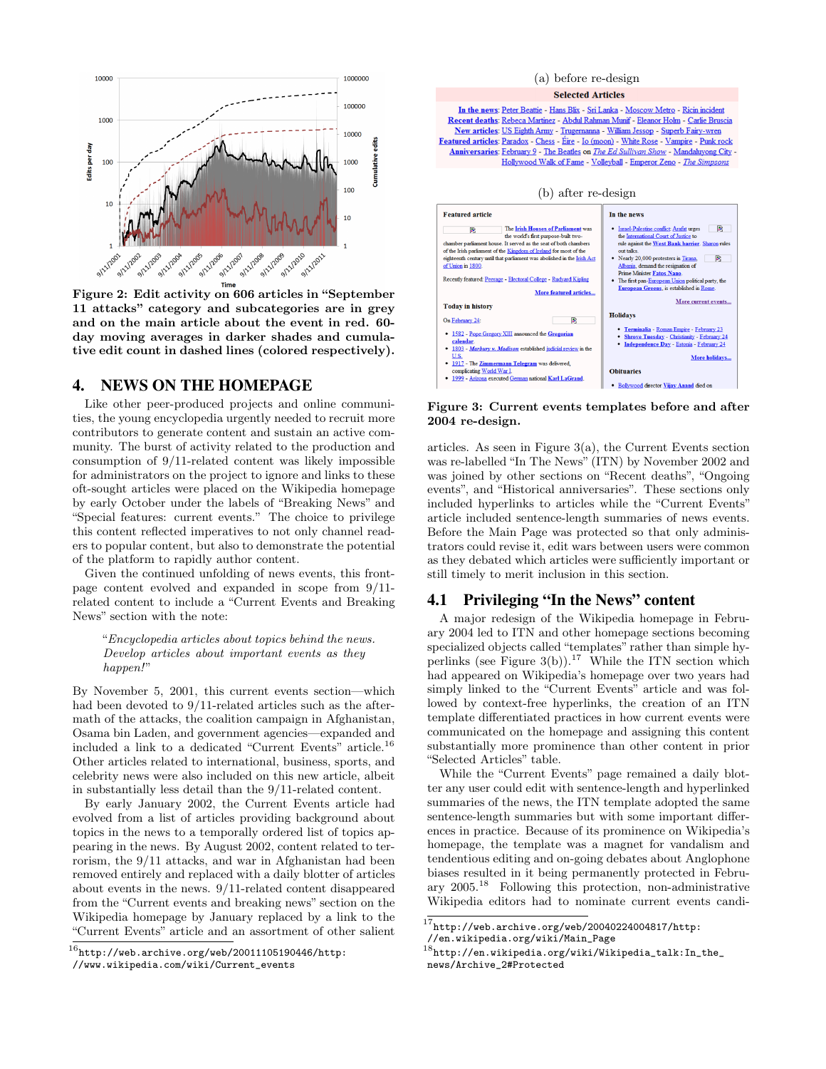

<span id="page-3-0"></span>Figure 2: Edit activity on 606 articles in "September 11 attacks" category and subcategories are in grey and on the main article about the event in red. 60 day moving averages in darker shades and cumulative edit count in dashed lines (colored respectively).

### 4. NEWS ON THE HOMEPAGE

Like other peer-produced projects and online communities, the young encyclopedia urgently needed to recruit more contributors to generate content and sustain an active community. The burst of activity related to the production and consumption of 9/11-related content was likely impossible for administrators on the project to ignore and links to these oft-sought articles were placed on the Wikipedia homepage by early October under the labels of "Breaking News" and "Special features: current events." The choice to privilege this content reflected imperatives to not only channel readers to popular content, but also to demonstrate the potential of the platform to rapidly author content.

Given the continued unfolding of news events, this frontpage content evolved and expanded in scope from 9/11 related content to include a "Current Events and Breaking News" section with the note:

#### "Encyclopedia articles about topics behind the news. Develop articles about important events as they happen!"

By November 5, 2001, this current events section—which had been devoted to 9/11-related articles such as the aftermath of the attacks, the coalition campaign in Afghanistan, Osama bin Laden, and government agencies—expanded and included a link to a dedicated "Current Events" article.[16](#page-3-1) Other articles related to international, business, sports, and celebrity news were also included on this new article, albeit in substantially less detail than the 9/11-related content.

By early January 2002, the Current Events article had evolved from a list of articles providing background about topics in the news to a temporally ordered list of topics appearing in the news. By August 2002, content related to terrorism, the 9/11 attacks, and war in Afghanistan had been removed entirely and replaced with a daily blotter of articles about events in the news. 9/11-related content disappeared from the "Current events and breaking news" section on the Wikipedia homepage by January replaced by a link to the "Current Events" article and an assortment of other salient



<span id="page-3-2"></span>Figure 3: Current events templates before and after 2004 re-design.

articles. As seen in Figure [3\(](#page-3-2)a), the Current Events section was re-labelled "In The News" (ITN) by November 2002 and was joined by other sections on "Recent deaths", "Ongoing events", and "Historical anniversaries". These sections only included hyperlinks to articles while the "Current Events" article included sentence-length summaries of news events. Before the Main Page was protected so that only administrators could revise it, edit wars between users were common as they debated which articles were sufficiently important or still timely to merit inclusion in this section.

### 4.1 Privileging "In the News" content

A major redesign of the Wikipedia homepage in February 2004 led to ITN and other homepage sections becoming specialized objects called "templates" rather than simple hy-perlinks (see Figure [3\(](#page-3-2)b)).<sup>[17](#page-3-3)</sup> While the ITN section which had appeared on Wikipedia's homepage over two years had simply linked to the "Current Events" article and was followed by context-free hyperlinks, the creation of an ITN template differentiated practices in how current events were communicated on the homepage and assigning this content substantially more prominence than other content in prior "Selected Articles" table.

While the "Current Events" page remained a daily blotter any user could edit with sentence-length and hyperlinked summaries of the news, the ITN template adopted the same sentence-length summaries but with some important differences in practice. Because of its prominence on Wikipedia's homepage, the template was a magnet for vandalism and tendentious editing and on-going debates about Anglophone biases resulted in it being permanently protected in February 2005.[18](#page-3-4) Following this protection, non-administrative Wikipedia editors had to nominate current events candi-

<span id="page-3-1"></span> $^{16}$ [http://web.archive.org/web/20011105190446/http:](http://web.archive.org/web/20011105190446/http://www.wikipedia.com/wiki/Current_events)

[<sup>//</sup>www.wikipedia.com/wiki/Current\\_events](http://web.archive.org/web/20011105190446/http://www.wikipedia.com/wiki/Current_events)

<span id="page-3-3"></span> $^{17}$ [http://web.archive.org/web/20040224004817/http:](http://web.archive.org/web/20040224004817/http://en.wikipedia.org/wiki/Main_Page)

[<sup>//</sup>en.wikipedia.org/wiki/Main\\_Page](http://web.archive.org/web/20040224004817/http://en.wikipedia.org/wiki/Main_Page)

<span id="page-3-4"></span> $^{18}$ [http://en.wikipedia.org/wiki/Wikipedia\\_talk:In\\_the\\_](http://en.wikipedia.org/wiki/Wikipedia_talk:In_the_news/Archive_2#Protected) [news/Archive\\_2#Protected](http://en.wikipedia.org/wiki/Wikipedia_talk:In_the_news/Archive_2#Protected)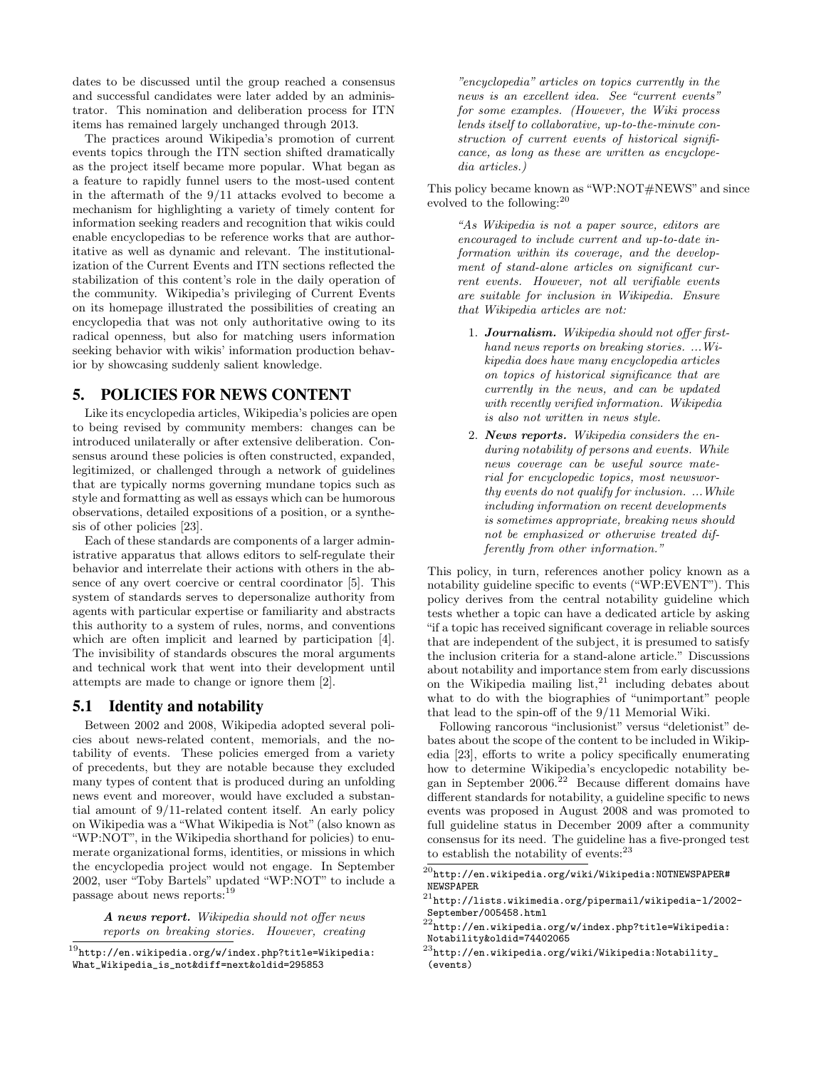dates to be discussed until the group reached a consensus and successful candidates were later added by an administrator. This nomination and deliberation process for ITN items has remained largely unchanged through 2013.

The practices around Wikipedia's promotion of current events topics through the ITN section shifted dramatically as the project itself became more popular. What began as a feature to rapidly funnel users to the most-used content in the aftermath of the 9/11 attacks evolved to become a mechanism for highlighting a variety of timely content for information seeking readers and recognition that wikis could enable encyclopedias to be reference works that are authoritative as well as dynamic and relevant. The institutionalization of the Current Events and ITN sections reflected the stabilization of this content's role in the daily operation of the community. Wikipedia's privileging of Current Events on its homepage illustrated the possibilities of creating an encyclopedia that was not only authoritative owing to its radical openness, but also for matching users information seeking behavior with wikis' information production behavior by showcasing suddenly salient knowledge.

### 5. POLICIES FOR NEWS CONTENT

Like its encyclopedia articles, Wikipedia's policies are open to being revised by community members: changes can be introduced unilaterally or after extensive deliberation. Consensus around these policies is often constructed, expanded, legitimized, or challenged through a network of guidelines that are typically norms governing mundane topics such as style and formatting as well as essays which can be humorous observations, detailed expositions of a position, or a synthesis of other policies [\[23\]](#page-9-15).

Each of these standards are components of a larger administrative apparatus that allows editors to self-regulate their behavior and interrelate their actions with others in the absence of any overt coercive or central coordinator [\[5\]](#page-9-16). This system of standards serves to depersonalize authority from agents with particular expertise or familiarity and abstracts this authority to a system of rules, norms, and conventions which are often implicit and learned by participation [\[4\]](#page-9-17). The invisibility of standards obscures the moral arguments and technical work that went into their development until attempts are made to change or ignore them [\[2\]](#page-9-18).

### 5.1 Identity and notability

Between 2002 and 2008, Wikipedia adopted several policies about news-related content, memorials, and the notability of events. These policies emerged from a variety of precedents, but they are notable because they excluded many types of content that is produced during an unfolding news event and moreover, would have excluded a substantial amount of 9/11-related content itself. An early policy on Wikipedia was a "What Wikipedia is Not" (also known as "WP:NOT", in the Wikipedia shorthand for policies) to enumerate organizational forms, identities, or missions in which the encyclopedia project would not engage. In September 2002, user "Toby Bartels" updated "WP:NOT" to include a passage about news reports:<sup>[19](#page-4-0)</sup>

A news report. Wikipedia should not offer news reports on breaking stories. However, creating

"encyclopedia" articles on topics currently in the news is an excellent idea. See "current events" for some examples. (However, the Wiki process lends itself to collaborative, up-to-the-minute construction of current events of historical significance, as long as these are written as encyclopedia articles.)

This policy became known as "WP:NOT#NEWS" and since evolved to the following:<sup>[20](#page-4-1)</sup>

"As Wikipedia is not a paper source, editors are encouraged to include current and up-to-date information within its coverage, and the development of stand-alone articles on significant current events. However, not all verifiable events are suitable for inclusion in Wikipedia. Ensure that Wikipedia articles are not:

- 1. Journalism. Wikipedia should not offer firsthand news reports on breaking stories. ...Wikipedia does have many encyclopedia articles on topics of historical significance that are currently in the news, and can be updated with recently verified information. Wikipedia is also not written in news style.
- 2. News reports. Wikipedia considers the enduring notability of persons and events. While news coverage can be useful source material for encyclopedic topics, most newsworthy events do not qualify for inclusion. ...While including information on recent developments is sometimes appropriate, breaking news should not be emphasized or otherwise treated differently from other information."

This policy, in turn, references another policy known as a notability guideline specific to events ("WP:EVENT"). This policy derives from the central notability guideline which tests whether a topic can have a dedicated article by asking "if a topic has received significant coverage in reliable sources that are independent of the subject, it is presumed to satisfy the inclusion criteria for a stand-alone article." Discussions about notability and importance stem from early discussions on the Wikipedia mailing list, $21$  including debates about what to do with the biographies of "unimportant" people that lead to the spin-off of the 9/11 Memorial Wiki.

Following rancorous "inclusionist" versus "deletionist" debates about the scope of the content to be included in Wikipedia [\[23\]](#page-9-15), efforts to write a policy specifically enumerating how to determine Wikipedia's encyclopedic notability began in September  $2006.<sup>22</sup>$  $2006.<sup>22</sup>$  $2006.<sup>22</sup>$  Because different domains have different standards for notability, a guideline specific to news events was proposed in August 2008 and was promoted to full guideline status in December 2009 after a community consensus for its need. The guideline has a five-pronged test to establish the notability of events: $^{23}$  $^{23}$  $^{23}$ 

<span id="page-4-0"></span> $19$ [http://en.wikipedia.org/w/index.php?title=Wikipedia:](http://en.wikipedia.org/w/index.php?title=Wikipedia:What_Wikipedia_is_not&diff=next&oldid=295853) [What\\_Wikipedia\\_is\\_not&diff=next&oldid=295853](http://en.wikipedia.org/w/index.php?title=Wikipedia:What_Wikipedia_is_not&diff=next&oldid=295853)

<span id="page-4-1"></span> $^{20}\mathrm{http://en.wikipedia.org/wiki/Wikipedia:NOTNEWSPAPER\#}$ [NEWSPAPER](http://en.wikipedia.org/wiki/Wikipedia:NOTNEWSPAPER#NEWSPAPER)

<span id="page-4-2"></span> $^{21}\mathrm{http://lists.wikimedia.org/pipermail/wikipedia-1/2002-}$ [September/005458.html](http://lists.wikimedia.org/pipermail/wikipedia-l/2002-September/005458.html)

<span id="page-4-3"></span> $22$ [http://en.wikipedia.org/w/index.php?title=Wikipedia:](http://en.wikipedia.org/w/index.php?title=Wikipedia:Notability&oldid=74402065) [Notability&oldid=74402065](http://en.wikipedia.org/w/index.php?title=Wikipedia:Notability&oldid=74402065)

<span id="page-4-4"></span> $^{23}$ [http://en.wikipedia.org/wiki/Wikipedia:Notability\\_](http://en.wikipedia.org/wiki/Wikipedia:Notability_(events)) [\(events\)](http://en.wikipedia.org/wiki/Wikipedia:Notability_(events))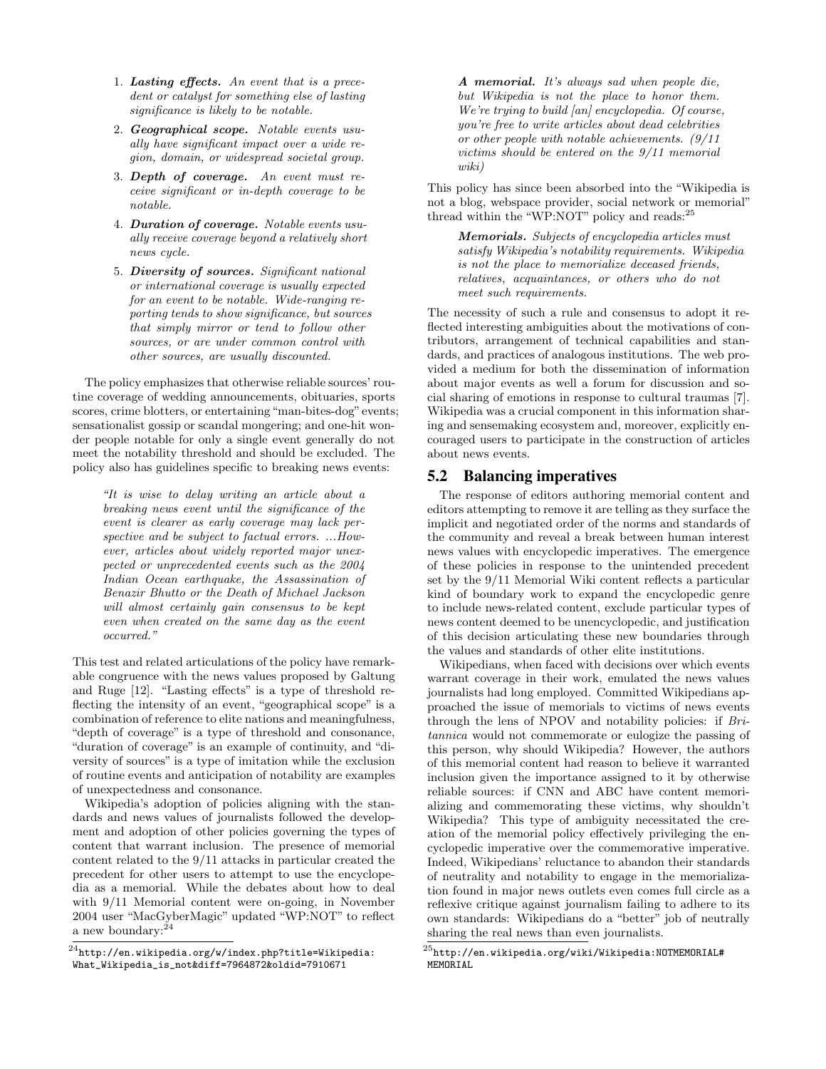- 1. Lasting effects. An event that is a precedent or catalyst for something else of lasting significance is likely to be notable.
- 2. Geographical scope. Notable events usually have significant impact over a wide region, domain, or widespread societal group.
- 3. Depth of coverage. An event must receive significant or in-depth coverage to be notable.
- 4. Duration of coverage. Notable events usually receive coverage beyond a relatively short news cycle.
- 5. Diversity of sources. Significant national or international coverage is usually expected for an event to be notable. Wide-ranging reporting tends to show significance, but sources that simply mirror or tend to follow other sources, or are under common control with other sources, are usually discounted.

The policy emphasizes that otherwise reliable sources' routine coverage of wedding announcements, obituaries, sports scores, crime blotters, or entertaining "man-bites-dog" events; sensationalist gossip or scandal mongering; and one-hit wonder people notable for only a single event generally do not meet the notability threshold and should be excluded. The policy also has guidelines specific to breaking news events:

"It is wise to delay writing an article about a breaking news event until the significance of the event is clearer as early coverage may lack perspective and be subject to factual errors. ...However, articles about widely reported major unexpected or unprecedented events such as the 2004 Indian Ocean earthquake, the Assassination of Benazir Bhutto or the Death of Michael Jackson will almost certainly gain consensus to be kept even when created on the same day as the event occurred."

This test and related articulations of the policy have remarkable congruence with the news values proposed by Galtung and Ruge [\[12\]](#page-9-19). "Lasting effects" is a type of threshold reflecting the intensity of an event, "geographical scope" is a combination of reference to elite nations and meaningfulness, "depth of coverage" is a type of threshold and consonance, "duration of coverage" is an example of continuity, and "diversity of sources" is a type of imitation while the exclusion of routine events and anticipation of notability are examples of unexpectedness and consonance.

Wikipedia's adoption of policies aligning with the standards and news values of journalists followed the development and adoption of other policies governing the types of content that warrant inclusion. The presence of memorial content related to the 9/11 attacks in particular created the precedent for other users to attempt to use the encyclopedia as a memorial. While the debates about how to deal with 9/11 Memorial content were on-going, in November 2004 user "MacGyberMagic" updated "WP:NOT" to reflect a new boundary:  $24$ 

A memorial. It's always sad when people die, but Wikipedia is not the place to honor them. We're trying to build [an] encyclopedia. Of course, you're free to write articles about dead celebrities or other people with notable achievements. (9/11 victims should be entered on the 9/11 memorial wiki)

This policy has since been absorbed into the "Wikipedia is not a blog, webspace provider, social network or memorial" thread within the "WP:NOT" policy and reads:<sup>[25](#page-5-1)</sup>

Memorials. Subjects of encyclopedia articles must satisfy Wikipedia's notability requirements. Wikipedia is not the place to memorialize deceased friends, relatives, acquaintances, or others who do not meet such requirements.

The necessity of such a rule and consensus to adopt it reflected interesting ambiguities about the motivations of contributors, arrangement of technical capabilities and standards, and practices of analogous institutions. The web provided a medium for both the dissemination of information about major events as well a forum for discussion and social sharing of emotions in response to cultural traumas [\[7\]](#page-9-20). Wikipedia was a crucial component in this information sharing and sensemaking ecosystem and, moreover, explicitly encouraged users to participate in the construction of articles about news events.

### 5.2 Balancing imperatives

The response of editors authoring memorial content and editors attempting to remove it are telling as they surface the implicit and negotiated order of the norms and standards of the community and reveal a break between human interest news values with encyclopedic imperatives. The emergence of these policies in response to the unintended precedent set by the 9/11 Memorial Wiki content reflects a particular kind of boundary work to expand the encyclopedic genre to include news-related content, exclude particular types of news content deemed to be unencyclopedic, and justification of this decision articulating these new boundaries through the values and standards of other elite institutions.

Wikipedians, when faced with decisions over which events warrant coverage in their work, emulated the news values journalists had long employed. Committed Wikipedians approached the issue of memorials to victims of news events through the lens of NPOV and notability policies: if Britannica would not commemorate or eulogize the passing of this person, why should Wikipedia? However, the authors of this memorial content had reason to believe it warranted inclusion given the importance assigned to it by otherwise reliable sources: if CNN and ABC have content memorializing and commemorating these victims, why shouldn't Wikipedia? This type of ambiguity necessitated the creation of the memorial policy effectively privileging the encyclopedic imperative over the commemorative imperative. Indeed, Wikipedians' reluctance to abandon their standards of neutrality and notability to engage in the memorialization found in major news outlets even comes full circle as a reflexive critique against journalism failing to adhere to its own standards: Wikipedians do a "better" job of neutrally sharing the real news than even journalists.

<span id="page-5-0"></span> $^{24}$ [http://en.wikipedia.org/w/index.php?title=Wikipedia:](http://en.wikipedia.org/w/index.php?title=Wikipedia:What_Wikipedia_is_not&diff=7964872&oldid=7910671) [What\\_Wikipedia\\_is\\_not&diff=7964872&oldid=7910671](http://en.wikipedia.org/w/index.php?title=Wikipedia:What_Wikipedia_is_not&diff=7964872&oldid=7910671)

<span id="page-5-1"></span> $^{25}\mathrm{http://en.wikipedia.org/wiki/Wikipedia:NOTMEMORIAL#}$  $^{25}\mathrm{http://en.wikipedia.org/wiki/Wikipedia:NOTMEMORIAL#}$  $^{25}\mathrm{http://en.wikipedia.org/wiki/Wikipedia:NOTMEMORIAL#}$ MEMORTAL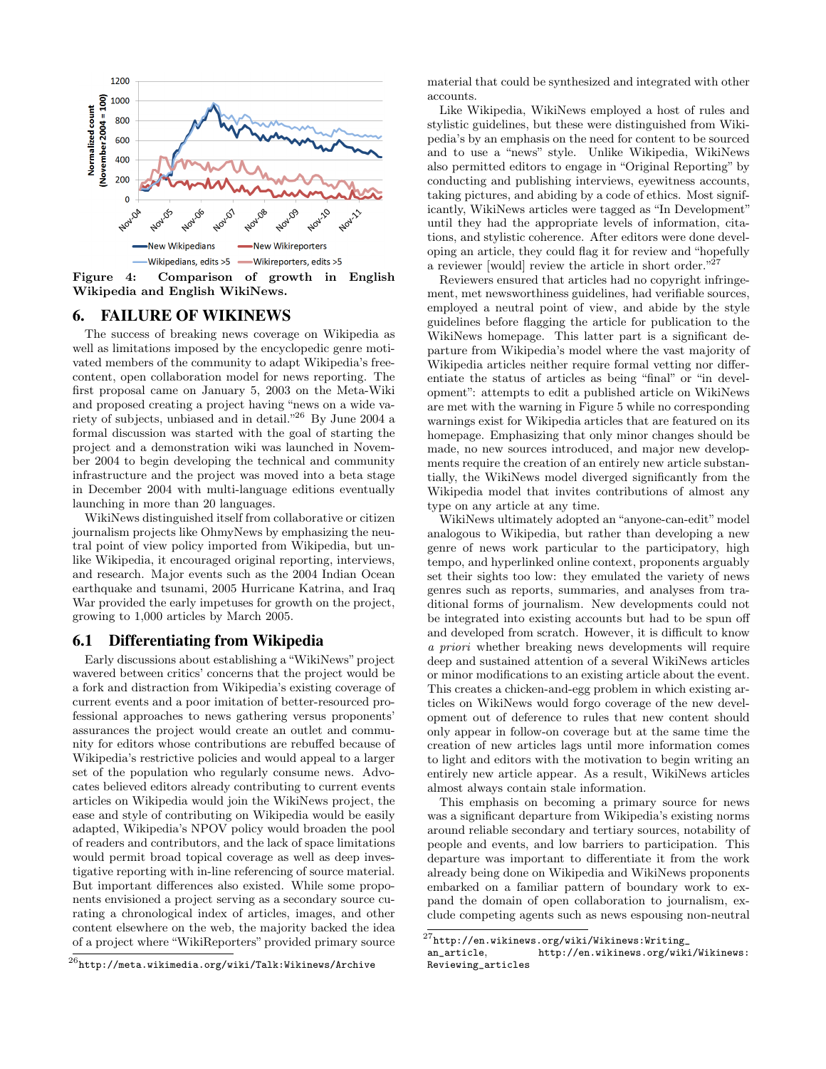

<span id="page-6-2"></span>Figure 4: Comparison of growth in English Wikipedia and English WikiNews.

#### 6. FAILURE OF WIKINEWS

The success of breaking news coverage on Wikipedia as well as limitations imposed by the encyclopedic genre motivated members of the community to adapt Wikipedia's freecontent, open collaboration model for news reporting. The first proposal came on January 5, 2003 on the Meta-Wiki and proposed creating a project having "news on a wide variety of subjects, unbiased and in detail."[26](#page-6-0) By June 2004 a formal discussion was started with the goal of starting the project and a demonstration wiki was launched in November 2004 to begin developing the technical and community infrastructure and the project was moved into a beta stage in December 2004 with multi-language editions eventually launching in more than 20 languages.

WikiNews distinguished itself from collaborative or citizen journalism projects like OhmyNews by emphasizing the neutral point of view policy imported from Wikipedia, but unlike Wikipedia, it encouraged original reporting, interviews, and research. Major events such as the 2004 Indian Ocean earthquake and tsunami, 2005 Hurricane Katrina, and Iraq War provided the early impetuses for growth on the project, growing to 1,000 articles by March 2005.

#### 6.1 Differentiating from Wikipedia

Early discussions about establishing a "WikiNews" project wavered between critics' concerns that the project would be a fork and distraction from Wikipedia's existing coverage of current events and a poor imitation of better-resourced professional approaches to news gathering versus proponents' assurances the project would create an outlet and community for editors whose contributions are rebuffed because of Wikipedia's restrictive policies and would appeal to a larger set of the population who regularly consume news. Advocates believed editors already contributing to current events articles on Wikipedia would join the WikiNews project, the ease and style of contributing on Wikipedia would be easily adapted, Wikipedia's NPOV policy would broaden the pool of readers and contributors, and the lack of space limitations would permit broad topical coverage as well as deep investigative reporting with in-line referencing of source material. But important differences also existed. While some proponents envisioned a project serving as a secondary source curating a chronological index of articles, images, and other content elsewhere on the web, the majority backed the idea of a project where "WikiReporters" provided primary source

material that could be synthesized and integrated with other accounts.

Like Wikipedia, WikiNews employed a host of rules and stylistic guidelines, but these were distinguished from Wikipedia's by an emphasis on the need for content to be sourced and to use a "news" style. Unlike Wikipedia, WikiNews also permitted editors to engage in "Original Reporting" by conducting and publishing interviews, eyewitness accounts, taking pictures, and abiding by a code of ethics. Most significantly, WikiNews articles were tagged as "In Development" until they had the appropriate levels of information, citations, and stylistic coherence. After editors were done developing an article, they could flag it for review and "hopefully a reviewer [would] review the article in short order."[27](#page-6-1)

Reviewers ensured that articles had no copyright infringement, met newsworthiness guidelines, had verifiable sources, employed a neutral point of view, and abide by the style guidelines before flagging the article for publication to the WikiNews homepage. This latter part is a significant departure from Wikipedia's model where the vast majority of Wikipedia articles neither require formal vetting nor differentiate the status of articles as being "final" or "in development": attempts to edit a published article on WikiNews are met with the warning in Figure [5](#page-7-0) while no corresponding warnings exist for Wikipedia articles that are featured on its homepage. Emphasizing that only minor changes should be made, no new sources introduced, and major new developments require the creation of an entirely new article substantially, the WikiNews model diverged significantly from the Wikipedia model that invites contributions of almost any type on any article at any time.

WikiNews ultimately adopted an "anyone-can-edit" model analogous to Wikipedia, but rather than developing a new genre of news work particular to the participatory, high tempo, and hyperlinked online context, proponents arguably set their sights too low: they emulated the variety of news genres such as reports, summaries, and analyses from traditional forms of journalism. New developments could not be integrated into existing accounts but had to be spun off and developed from scratch. However, it is difficult to know a priori whether breaking news developments will require deep and sustained attention of a several WikiNews articles or minor modifications to an existing article about the event. This creates a chicken-and-egg problem in which existing articles on WikiNews would forgo coverage of the new development out of deference to rules that new content should only appear in follow-on coverage but at the same time the creation of new articles lags until more information comes to light and editors with the motivation to begin writing an entirely new article appear. As a result, WikiNews articles almost always contain stale information.

This emphasis on becoming a primary source for news was a significant departure from Wikipedia's existing norms around reliable secondary and tertiary sources, notability of people and events, and low barriers to participation. This departure was important to differentiate it from the work already being done on Wikipedia and WikiNews proponents embarked on a familiar pattern of boundary work to expand the domain of open collaboration to journalism, exclude competing agents such as news espousing non-neutral

<span id="page-6-0"></span> $^{26}$ <http://meta.wikimedia.org/wiki/Talk:Wikinews/Archive>

<span id="page-6-1"></span> $^{27}$ http://en.wikinews.org/wiki/Wikinews:Writing

[an\\_article](http://en.wikinews.org/wiki/Wikinews:Writing_an_article), [http://en.wikinews.org/wiki/Wikinews:](http://en.wikinews.org/wiki/Wikinews:Reviewing_articles) [Reviewing\\_articles](http://en.wikinews.org/wiki/Wikinews:Reviewing_articles)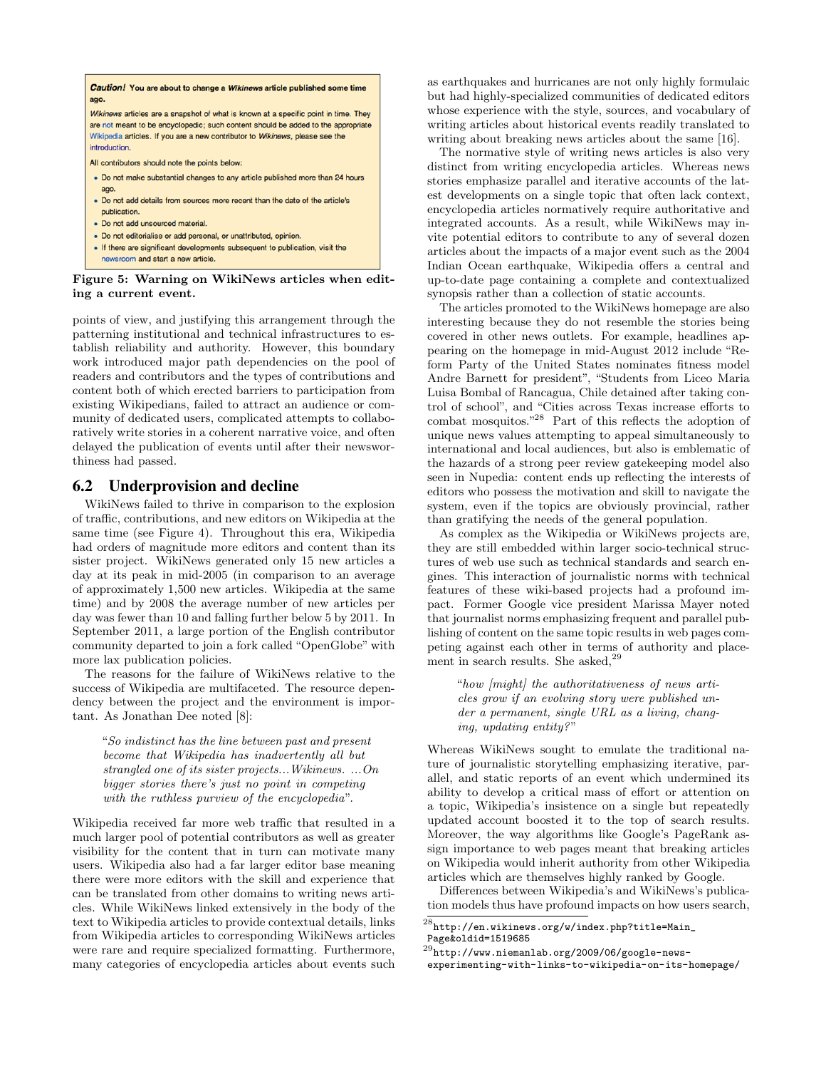

#### <span id="page-7-0"></span>Figure 5: Warning on WikiNews articles when editing a current event.

points of view, and justifying this arrangement through the patterning institutional and technical infrastructures to establish reliability and authority. However, this boundary work introduced major path dependencies on the pool of readers and contributors and the types of contributions and content both of which erected barriers to participation from existing Wikipedians, failed to attract an audience or community of dedicated users, complicated attempts to collaboratively write stories in a coherent narrative voice, and often delayed the publication of events until after their newsworthiness had passed.

### 6.2 Underprovision and decline

WikiNews failed to thrive in comparison to the explosion of traffic, contributions, and new editors on Wikipedia at the same time (see Figure [4\)](#page-6-2). Throughout this era, Wikipedia had orders of magnitude more editors and content than its sister project. WikiNews generated only 15 new articles a day at its peak in mid-2005 (in comparison to an average of approximately 1,500 new articles. Wikipedia at the same time) and by 2008 the average number of new articles per day was fewer than 10 and falling further below 5 by 2011. In September 2011, a large portion of the English contributor community departed to join a fork called "OpenGlobe" with more lax publication policies.

The reasons for the failure of WikiNews relative to the success of Wikipedia are multifaceted. The resource dependency between the project and the environment is important. As Jonathan Dee noted [\[8\]](#page-9-3):

"So indistinct has the line between past and present become that Wikipedia has inadvertently all but strangled one of its sister projects...Wikinews. ...On bigger stories there's just no point in competing with the ruthless purview of the encyclopedia".

Wikipedia received far more web traffic that resulted in a much larger pool of potential contributors as well as greater visibility for the content that in turn can motivate many users. Wikipedia also had a far larger editor base meaning there were more editors with the skill and experience that can be translated from other domains to writing news articles. While WikiNews linked extensively in the body of the text to Wikipedia articles to provide contextual details, links from Wikipedia articles to corresponding WikiNews articles were rare and require specialized formatting. Furthermore, many categories of encyclopedia articles about events such as earthquakes and hurricanes are not only highly formulaic but had highly-specialized communities of dedicated editors whose experience with the style, sources, and vocabulary of writing articles about historical events readily translated to writing about breaking news articles about the same [\[16\]](#page-9-8).

The normative style of writing news articles is also very distinct from writing encyclopedia articles. Whereas news stories emphasize parallel and iterative accounts of the latest developments on a single topic that often lack context, encyclopedia articles normatively require authoritative and integrated accounts. As a result, while WikiNews may invite potential editors to contribute to any of several dozen articles about the impacts of a major event such as the 2004 Indian Ocean earthquake, Wikipedia offers a central and up-to-date page containing a complete and contextualized synopsis rather than a collection of static accounts.

The articles promoted to the WikiNews homepage are also interesting because they do not resemble the stories being covered in other news outlets. For example, headlines appearing on the homepage in mid-August 2012 include "Reform Party of the United States nominates fitness model Andre Barnett for president", "Students from Liceo Maria Luisa Bombal of Rancagua, Chile detained after taking control of school", and "Cities across Texas increase efforts to combat mosquitos."[28](#page-7-1) Part of this reflects the adoption of unique news values attempting to appeal simultaneously to international and local audiences, but also is emblematic of the hazards of a strong peer review gatekeeping model also seen in Nupedia: content ends up reflecting the interests of editors who possess the motivation and skill to navigate the system, even if the topics are obviously provincial, rather than gratifying the needs of the general population.

As complex as the Wikipedia or WikiNews projects are, they are still embedded within larger socio-technical structures of web use such as technical standards and search engines. This interaction of journalistic norms with technical features of these wiki-based projects had a profound impact. Former Google vice president Marissa Mayer noted that journalist norms emphasizing frequent and parallel publishing of content on the same topic results in web pages competing against each other in terms of authority and placement in search results. She asked,  $^{29}$  $^{29}$  $^{29}$ 

"how [might] the authoritativeness of news articles grow if an evolving story were published under a permanent, single URL as a living, changing, updating entity?"

Whereas WikiNews sought to emulate the traditional nature of journalistic storytelling emphasizing iterative, parallel, and static reports of an event which undermined its ability to develop a critical mass of effort or attention on a topic, Wikipedia's insistence on a single but repeatedly updated account boosted it to the top of search results. Moreover, the way algorithms like Google's PageRank assign importance to web pages meant that breaking articles on Wikipedia would inherit authority from other Wikipedia articles which are themselves highly ranked by Google.

Differences between Wikipedia's and WikiNews's publication models thus have profound impacts on how users search,

<span id="page-7-1"></span> $^{28}$ [http://en.wikinews.org/w/index.php?title=Main\\_](http://en.wikinews.org/w/index.php?title=Main_Page&oldid=1519685) [Page&oldid=1519685](http://en.wikinews.org/w/index.php?title=Main_Page&oldid=1519685)

<span id="page-7-2"></span><sup>29</sup>[http://www.niemanlab.org/2009/06/google-news-](http://www.niemanlab.org/2009/06/google-news-experimenting-with-links-to-wikipedia-on-its-homepage/)

[experimenting-with-links-to-wikipedia-on-its-homepage/](http://www.niemanlab.org/2009/06/google-news-experimenting-with-links-to-wikipedia-on-its-homepage/)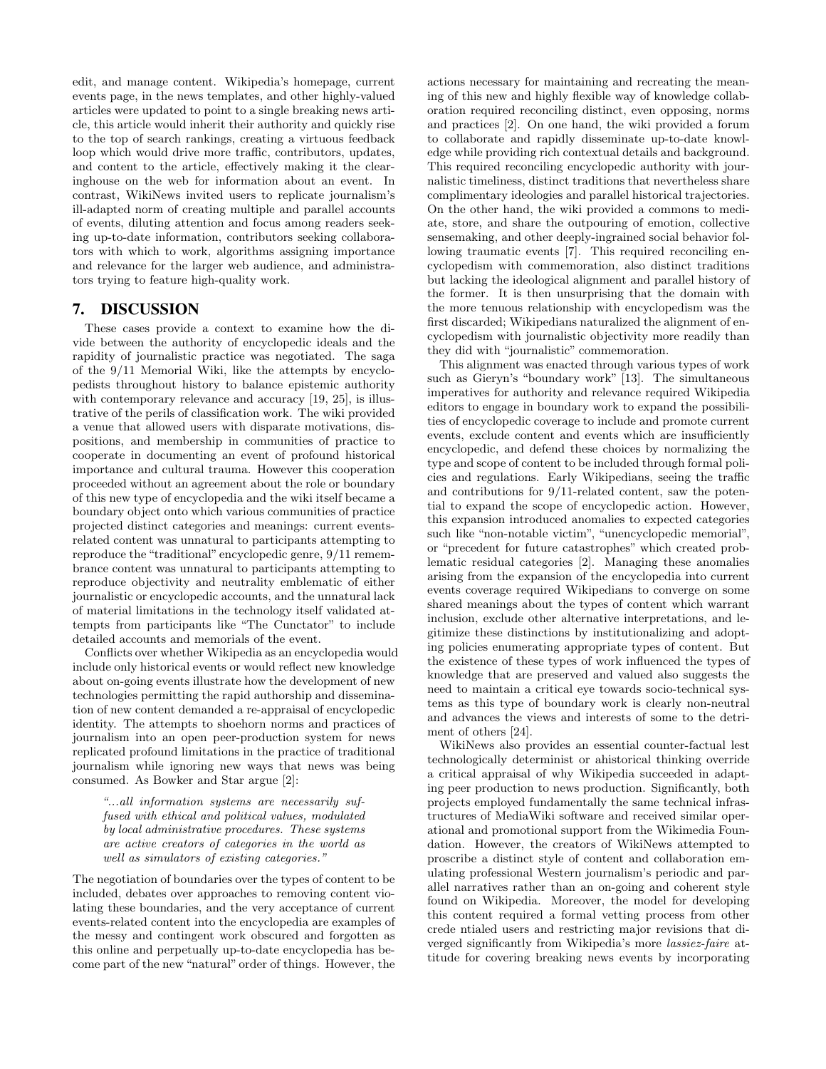edit, and manage content. Wikipedia's homepage, current events page, in the news templates, and other highly-valued articles were updated to point to a single breaking news article, this article would inherit their authority and quickly rise to the top of search rankings, creating a virtuous feedback loop which would drive more traffic, contributors, updates, and content to the article, effectively making it the clearinghouse on the web for information about an event. In contrast, WikiNews invited users to replicate journalism's ill-adapted norm of creating multiple and parallel accounts of events, diluting attention and focus among readers seeking up-to-date information, contributors seeking collaborators with which to work, algorithms assigning importance and relevance for the larger web audience, and administrators trying to feature high-quality work.

### 7. DISCUSSION

These cases provide a context to examine how the divide between the authority of encyclopedic ideals and the rapidity of journalistic practice was negotiated. The saga of the 9/11 Memorial Wiki, like the attempts by encyclopedists throughout history to balance epistemic authority with contemporary relevance and accuracy [\[19,](#page-9-0) [25\]](#page-9-1), is illustrative of the perils of classification work. The wiki provided a venue that allowed users with disparate motivations, dispositions, and membership in communities of practice to cooperate in documenting an event of profound historical importance and cultural trauma. However this cooperation proceeded without an agreement about the role or boundary of this new type of encyclopedia and the wiki itself became a boundary object onto which various communities of practice projected distinct categories and meanings: current eventsrelated content was unnatural to participants attempting to reproduce the "traditional" encyclopedic genre, 9/11 remembrance content was unnatural to participants attempting to reproduce objectivity and neutrality emblematic of either journalistic or encyclopedic accounts, and the unnatural lack of material limitations in the technology itself validated attempts from participants like "The Cunctator" to include detailed accounts and memorials of the event.

Conflicts over whether Wikipedia as an encyclopedia would include only historical events or would reflect new knowledge about on-going events illustrate how the development of new technologies permitting the rapid authorship and dissemination of new content demanded a re-appraisal of encyclopedic identity. The attempts to shoehorn norms and practices of journalism into an open peer-production system for news replicated profound limitations in the practice of traditional journalism while ignoring new ways that news was being consumed. As Bowker and Star argue [\[2\]](#page-9-18):

"...all information systems are necessarily suffused with ethical and political values, modulated by local administrative procedures. These systems are active creators of categories in the world as well as simulators of existing categories."

The negotiation of boundaries over the types of content to be included, debates over approaches to removing content violating these boundaries, and the very acceptance of current events-related content into the encyclopedia are examples of the messy and contingent work obscured and forgotten as this online and perpetually up-to-date encyclopedia has become part of the new "natural" order of things. However, the

actions necessary for maintaining and recreating the meaning of this new and highly flexible way of knowledge collaboration required reconciling distinct, even opposing, norms and practices [\[2\]](#page-9-18). On one hand, the wiki provided a forum to collaborate and rapidly disseminate up-to-date knowledge while providing rich contextual details and background. This required reconciling encyclopedic authority with journalistic timeliness, distinct traditions that nevertheless share complimentary ideologies and parallel historical trajectories. On the other hand, the wiki provided a commons to mediate, store, and share the outpouring of emotion, collective sensemaking, and other deeply-ingrained social behavior following traumatic events [\[7\]](#page-9-20). This required reconciling encyclopedism with commemoration, also distinct traditions but lacking the ideological alignment and parallel history of the former. It is then unsurprising that the domain with the more tenuous relationship with encyclopedism was the first discarded; Wikipedians naturalized the alignment of encyclopedism with journalistic objectivity more readily than they did with "journalistic" commemoration.

This alignment was enacted through various types of work such as Gieryn's "boundary work" [\[13\]](#page-9-6). The simultaneous imperatives for authority and relevance required Wikipedia editors to engage in boundary work to expand the possibilities of encyclopedic coverage to include and promote current events, exclude content and events which are insufficiently encyclopedic, and defend these choices by normalizing the type and scope of content to be included through formal policies and regulations. Early Wikipedians, seeing the traffic and contributions for 9/11-related content, saw the potential to expand the scope of encyclopedic action. However, this expansion introduced anomalies to expected categories such like "non-notable victim", "unencyclopedic memorial", or "precedent for future catastrophes" which created problematic residual categories [\[2\]](#page-9-18). Managing these anomalies arising from the expansion of the encyclopedia into current events coverage required Wikipedians to converge on some shared meanings about the types of content which warrant inclusion, exclude other alternative interpretations, and legitimize these distinctions by institutionalizing and adopting policies enumerating appropriate types of content. But the existence of these types of work influenced the types of knowledge that are preserved and valued also suggests the need to maintain a critical eye towards socio-technical systems as this type of boundary work is clearly non-neutral and advances the views and interests of some to the detriment of others [\[24\]](#page-9-21).

WikiNews also provides an essential counter-factual lest technologically determinist or ahistorical thinking override a critical appraisal of why Wikipedia succeeded in adapting peer production to news production. Significantly, both projects employed fundamentally the same technical infrastructures of MediaWiki software and received similar operational and promotional support from the Wikimedia Foundation. However, the creators of WikiNews attempted to proscribe a distinct style of content and collaboration emulating professional Western journalism's periodic and parallel narratives rather than an on-going and coherent style found on Wikipedia. Moreover, the model for developing this content required a formal vetting process from other crede ntialed users and restricting major revisions that diverged significantly from Wikipedia's more lassiez-faire attitude for covering breaking news events by incorporating